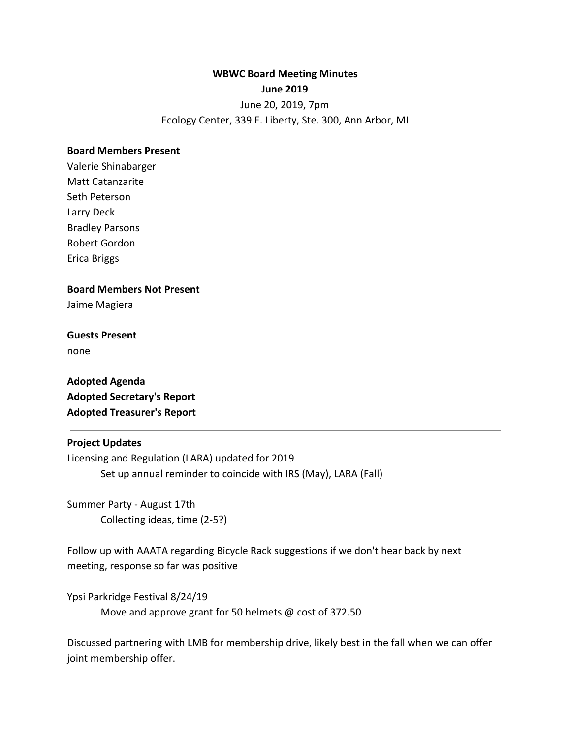# **WBWC Board Meeting Minutes June 2019** June 20, 2019, 7pm Ecology Center, 339 E. Liberty, Ste. 300, Ann Arbor, MI

#### **Board Members Present**

Valerie Shinabarger Matt Catanzarite Seth Peterson Larry Deck Bradley Parsons Robert Gordon Erica Briggs

## **Board Members Not Present**

Jaime Magiera

# **Guests Present**

none

**Adopted Agenda Adopted Secretary's Report Adopted Treasurer's Report**

## **Project Updates**

Licensing and Regulation (LARA) updated for 2019 Set up annual reminder to coincide with IRS (May), LARA (Fall)

Summer Party - August 17th Collecting ideas, time (2-5?)

Follow up with AAATA regarding Bicycle Rack suggestions if we don't hear back by next meeting, response so far was positive

Ypsi Parkridge Festival 8/24/19 Move and approve grant for 50 helmets @ cost of 372.50

Discussed partnering with LMB for membership drive, likely best in the fall when we can offer joint membership offer.